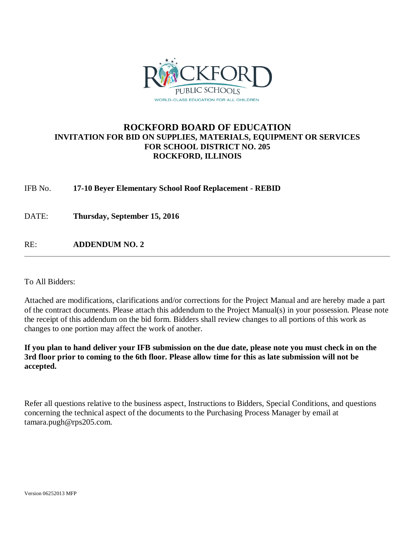

## **ROCKFORD BOARD OF EDUCATION INVITATION FOR BID ON SUPPLIES, MATERIALS, EQUIPMENT OR SERVICES FOR SCHOOL DISTRICT NO. 205 ROCKFORD, ILLINOIS**

IFB No. **17-10 Beyer Elementary School Roof Replacement - REBID**

DATE: **Thursday, September 15, 2016**

RE: **ADDENDUM NO. 2**

To All Bidders:

Attached are modifications, clarifications and/or corrections for the Project Manual and are hereby made a part of the contract documents. Please attach this addendum to the Project Manual(s) in your possession. Please note the receipt of this addendum on the bid form. Bidders shall review changes to all portions of this work as changes to one portion may affect the work of another.

**If you plan to hand deliver your IFB submission on the due date, please note you must check in on the 3rd floor prior to coming to the 6th floor. Please allow time for this as late submission will not be accepted.**

Refer all questions relative to the business aspect, Instructions to Bidders, Special Conditions, and questions concerning the technical aspect of the documents to the Purchasing Process Manager by email at tamara.pugh@rps205.com.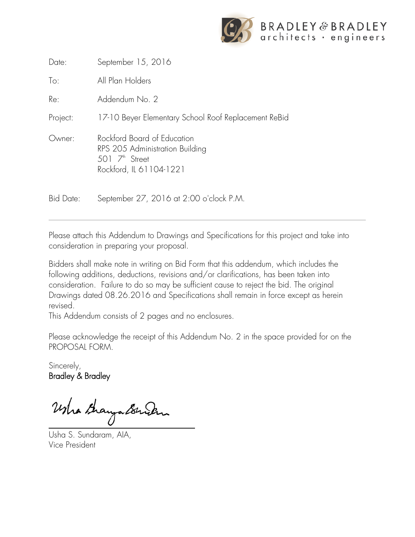

| Date:     | September 15, 2016                                                                                                               |
|-----------|----------------------------------------------------------------------------------------------------------------------------------|
| To:       | All Plan Holders                                                                                                                 |
| Re:       | Addendum No. 2                                                                                                                   |
| Project:  | 17-10 Beyer Elementary School Roof Replacement ReBid                                                                             |
| Owner:    | Rockford Board of Education<br>RPS 205 Administration Building<br>$501 \text{ } 7^{\text{th}}$ Street<br>Rockford, IL 61104-1221 |
| Bid Date: | September 27, 2016 at 2:00 o'clock P.M.                                                                                          |

Please attach this Addendum to Drawings and Specifications for this project and take into consideration in preparing your proposal.

Bidders shall make note in writing on Bid Form that this addendum, which includes the following additions, deductions, revisions and/or clarifications, has been taken into consideration. Failure to do so may be sufficient cause to reject the bid. The original Drawings dated 08.26.2016 and Specifications shall remain in force except as herein revised.

This Addendum consists of 2 pages and no enclosures.

Please acknowledge the receipt of this Addendum No. 2 in the space provided for on the PROPOSAL FORM.

Sincerely, Bradley & Bradley

Whathayabruch

Usha S. Sundaram, AIA, Vice President